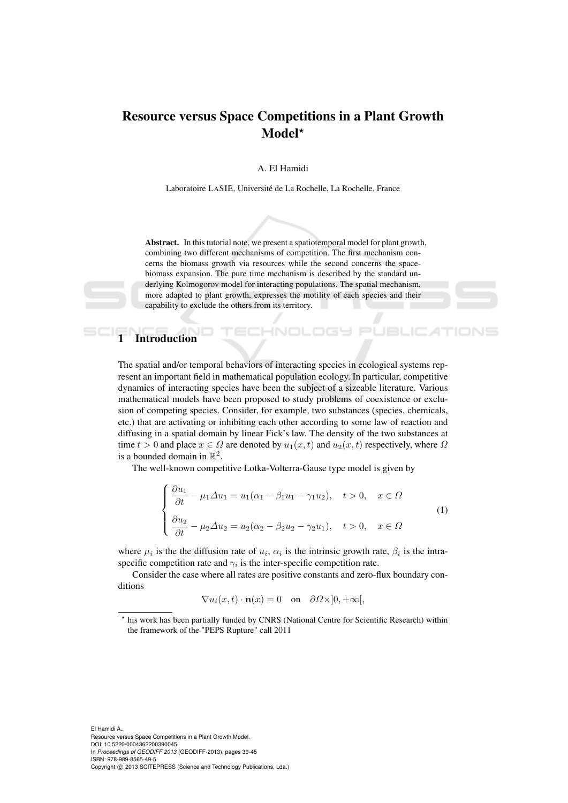## Resource versus Space Competitions in a Plant Growth Model?

A. El Hamidi

Laboratoire LASIE, Université de La Rochelle, La Rochelle, France

Abstract. In this tutorial note, we present a spatiotemporal model for plant growth, combining two different mechanisms of competition. The first mechanism concerns the biomass growth via resources while the second concerns the spacebiomass expansion. The pure time mechanism is described by the standard underlying Kolmogorov model for interacting populations. The spatial mechanism, more adapted to plant growth, expresses the motility of each species and their capability to exclude the others from its territory.

HNOL

## **Introduction**

The spatial and/or temporal behaviors of interacting species in ecological systems represent an important field in mathematical population ecology. In particular, competitive dynamics of interacting species have been the subject of a sizeable literature. Various mathematical models have been proposed to study problems of coexistence or exclusion of competing species. Consider, for example, two substances (species, chemicals, etc.) that are activating or inhibiting each other according to some law of reaction and diffusing in a spatial domain by linear Fick's law. The density of the two substances at time  $t > 0$  and place  $x \in \Omega$  are denoted by  $u_1(x, t)$  and  $u_2(x, t)$  respectively, where  $\Omega$ is a bounded domain in  $\mathbb{R}^2$ .

The well-known competitive Lotka-Volterra-Gause type model is given by

$$
\begin{cases}\n\frac{\partial u_1}{\partial t} - \mu_1 \Delta u_1 = u_1 (\alpha_1 - \beta_1 u_1 - \gamma_1 u_2), & t > 0, \quad x \in \Omega \\
\frac{\partial u_2}{\partial t} - \mu_2 \Delta u_2 = u_2 (\alpha_2 - \beta_2 u_2 - \gamma_2 u_1), & t > 0, \quad x \in \Omega\n\end{cases}
$$
\n(1)

where  $\mu_i$  is the the diffusion rate of  $u_i$ ,  $\alpha_i$  is the intrinsic growth rate,  $\beta_i$  is the intraspecific competition rate and  $\gamma_i$  is the inter-specific competition rate.

Consider the case where all rates are positive constants and zero-flux boundary conditions

$$
\nabla u_i(x,t) \cdot \mathbf{n}(x) = 0 \quad \text{on} \quad \partial \Omega \times ]0,+\infty[,
$$

 $\star$ his work has been partially funded by CNRS (National Centre for Scientific Research) within the framework of the "PEPS Rupture" call 2011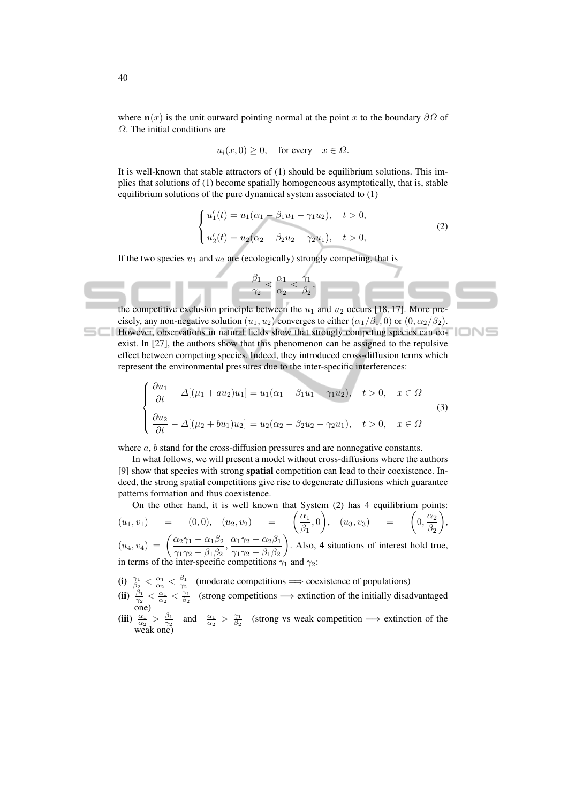where  $n(x)$  is the unit outward pointing normal at the point x to the boundary  $\partial\Omega$  of Ω. The initial conditions are

$$
u_i(x, 0) \ge 0
$$
, for every  $x \in \Omega$ .

It is well-known that stable attractors of (1) should be equilibrium solutions. This implies that solutions of (1) become spatially homogeneous asymptotically, that is, stable equilibrium solutions of the pure dynamical system associated to (1)

$$
\begin{cases}\nu_1'(t) = u_1(\alpha_1 - \beta_1 u_1 - \gamma_1 u_2), & t > 0, \\
u_2'(t) = u_2(\alpha_2 - \beta_2 u_2 - \gamma_2 u_1), & t > 0,\n\end{cases}
$$
\n(2)

If the two species  $u_1$  and  $u_2$  are (ecologically) strongly competing, that is

 $\beta_1$ 



$$
\begin{cases}\n\frac{\partial u_1}{\partial t} - \Delta[(\mu_1 + au_2)u_1] = u_1(\alpha_1 - \beta_1 u_1 - \gamma_1 u_2), & t > 0, \quad x \in \Omega \\
\frac{\partial u_2}{\partial t} - \Delta[(\mu_2 + bu_1)u_2] = u_2(\alpha_2 - \beta_2 u_2 - \gamma_2 u_1), & t > 0, \quad x \in \Omega\n\end{cases}
$$
\n(3)

where  $a, b$  stand for the cross-diffusion pressures and are nonnegative constants.

In what follows, we will present a model without cross-diffusions where the authors [9] show that species with strong spatial competition can lead to their coexistence. Indeed, the strong spatial competitions give rise to degenerate diffusions which guarantee patterns formation and thus coexistence.

On the other hand, it is well known that System (2) has 4 equilibrium points:

$$
(u_1, v_1) = (0, 0), (u_2, v_2) = \left(\frac{\alpha_1}{\beta_1}, 0\right), (u_3, v_3) = \left(0, \frac{\alpha_2}{\beta_2}\right),
$$
  

$$
(u_4, v_4) = \left(\frac{\alpha_2\gamma_1 - \alpha_1\beta_2}{\gamma_1\gamma_2 - \beta_1\beta_2}, \frac{\alpha_1\gamma_2 - \alpha_2\beta_1}{\gamma_1\gamma_2 - \beta_1\beta_2}\right).
$$
 Also, 4 situations of interest hold true, in terms of the inter-specific competitions  $\gamma_1$  and  $\gamma_2$ :

(i)  $\frac{\gamma_1}{\beta_2} < \frac{\alpha_1}{\alpha_2} < \frac{\beta_1}{\gamma_2}$  (moderate competitions  $\implies$  coexistence of populations)

- (ii)  $\frac{\beta_1}{\gamma_2} < \frac{\alpha_1}{\alpha_2} < \frac{\gamma_1}{\beta_2}$  (strong competitions  $\implies$  extinction of the initially disadvantaged one)
- (iii)  $\frac{\alpha_1}{\alpha_2} > \frac{\beta_1}{\gamma_2}$  and  $\frac{\alpha_1}{\alpha_2} > \frac{\gamma_1}{\beta_2}$  (strong vs weak competition  $\implies$  extinction of the weak one)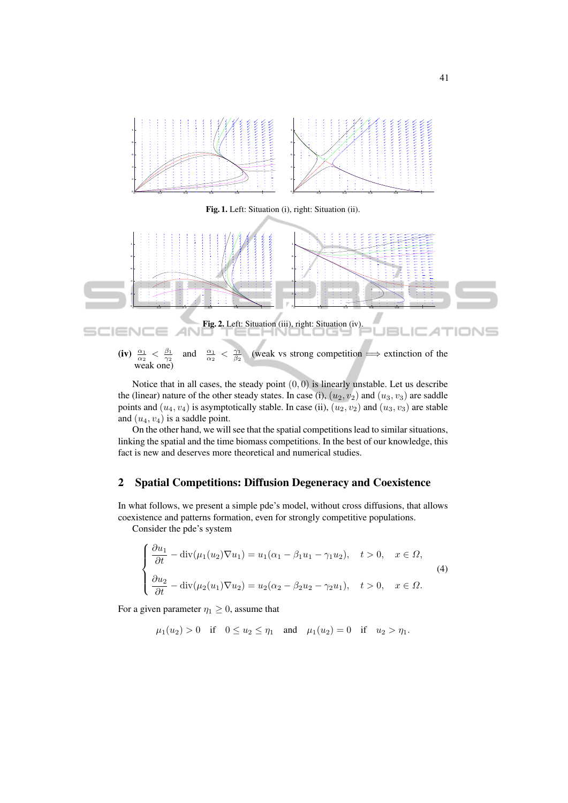

(iv)  $\frac{\alpha_1}{\alpha_2} < \frac{\beta_1}{\gamma_2}$ <br>weak one) and  $\frac{\alpha_1}{\alpha_2}$  $\,<$  $\frac{\gamma_1}{\beta_2}$ (weak vs strong competition  $\implies$  extinction of the

Notice that in all cases, the steady point  $(0, 0)$  is linearly unstable. Let us describe the (linear) nature of the other steady states. In case (i),  $(u_2, v_2)$  and  $(u_3, v_3)$  are saddle points and  $(u_4, v_4)$  is asymptotically stable. In case (ii),  $(u_2, v_2)$  and  $(u_3, v_3)$  are stable and  $(u_4, v_4)$  is a saddle point.

On the other hand, we will see that the spatial competitions lead to similar situations, linking the spatial and the time biomass competitions. In the best of our knowledge, this fact is new and deserves more theoretical and numerical studies.

## 2 Spatial Competitions: Diffusion Degeneracy and Coexistence

In what follows, we present a simple pde's model, without cross diffusions, that allows coexistence and patterns formation, even for strongly competitive populations.

Consider the pde's system

$$
\begin{cases}\n\frac{\partial u_1}{\partial t} - \operatorname{div}(\mu_1(u_2)\nabla u_1) = u_1(\alpha_1 - \beta_1 u_1 - \gamma_1 u_2), & t > 0, \quad x \in \Omega, \\
\frac{\partial u_2}{\partial t} - \operatorname{div}(\mu_2(u_1)\nabla u_2) = u_2(\alpha_2 - \beta_2 u_2 - \gamma_2 u_1), & t > 0, \quad x \in \Omega.\n\end{cases}
$$
\n(4)

For a given parameter  $\eta_1 \geq 0$ , assume that

$$
\mu_1(u_2) > 0
$$
 if  $0 \le u_2 \le \eta_1$  and  $\mu_1(u_2) = 0$  if  $u_2 > \eta_1$ .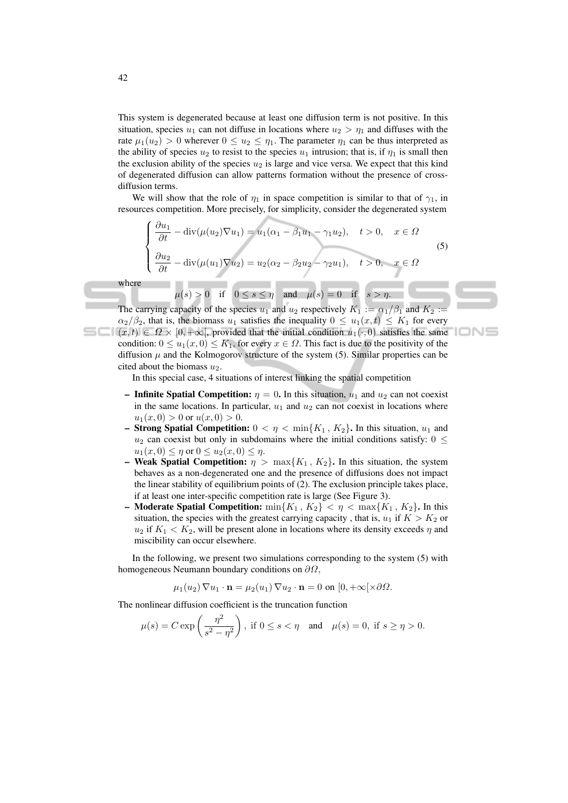This system is degenerated because at least one diffusion term is not positive. In this situation, species  $u_1$  can not diffuse in locations where  $u_2 > \eta_1$  and diffuses with the rate  $\mu_1(u_2) > 0$  wherever  $0 \le u_2 \le \eta_1$ . The parameter  $\eta_1$  can be thus interpreted as the ability of species  $u_2$  to resist to the species  $u_1$  intrusion; that is, if  $\eta_1$  is small then the exclusion ability of the species  $u_2$  is large and vice versa. We expect that this kind of degenerated diffusion can allow patterns formation without the presence of crossdiffusion terms.

We will show that the role of  $\eta_1$  in space competition is similar to that of  $\gamma_1$ , in resources competition. More precisely, for simplicity, consider the degenerated system

$$
\begin{cases}\n\frac{\partial u_1}{\partial t} - \operatorname{div}(\mu(u_2)\nabla u_1) = u_1(\alpha_1 - \beta_1 u_1 - \gamma_1 u_2), & t > 0, \quad x \in \Omega \\
\frac{\partial u_2}{\partial t} - \operatorname{div}(\mu(u_1)\nabla u_2) = u_2(\alpha_2 - \beta_2 u_2 - \gamma_2 u_1), & t > 0, \quad x \in \Omega\n\end{cases}
$$
\n
$$
\mu(s) > 0 \quad \text{if} \quad 0 \le s \le \eta \quad \text{and} \quad \mu(s) = 0 \quad \text{if} \quad s > \eta.
$$
\n(5)

'IONS

where

The carrying capacity of the species  $u_1$  and  $u_2$  respectively  $K_1 := \alpha_1/\beta_1$  and  $K_2$  $\alpha_2/\beta_2$ , that is, the biomass  $u_1$  satisfies the inequality  $0 \le u_1(x,t) \le K_1$  for every  $\Box$   $(x, t) \in \Omega \times [0, +\infty[$ , provided that the initial condition  $u_1(\cdot, 0)$  satisfies the same condition:  $0 \le u_1(x, 0) \le K_1$ , for every  $x \in \Omega$ . This fact is due to the positivity of the diffusion  $\mu$  and the Kolmogorov structure of the system (5). Similar properties can be cited about the biomass  $u_2$ .

In this special case, 4 situations of interest linking the spatial competition

- Infinite Spatial Competition:  $\eta = 0$ . In this situation,  $u_1$  and  $u_2$  can not coexist in the same locations. In particular,  $u_1$  and  $u_2$  can not coexist in locations where  $u_1(x, 0) > 0$  or  $u(x, 0) > 0$ .
- Strong Spatial Competition:  $0 < \eta < \min\{K_1, K_2\}$ . In this situation,  $u_1$  and  $u_2$  can coexist but only in subdomains where the initial conditions satisfy:  $0 \leq$  $u_1(x, 0) \leq \eta$  or  $0 \leq u_2(x, 0) \leq \eta$ .
- Weak Spatial Competition:  $\eta > \max\{K_1, K_2\}$ . In this situation, the system behaves as a non-degenerated one and the presence of diffusions does not impact the linear stability of equilibrium points of (2). The exclusion principle takes place, if at least one inter-specific competition rate is large (See Figure 3).
- Moderate Spatial Competition:  $\min\{K_1, K_2\} < \eta < \max\{K_1, K_2\}$ . In this situation, the species with the greatest carrying capacity, that is,  $u_1$  if  $K > K_2$  or  $u_2$  if  $K_1 < K_2$ , will be present alone in locations where its density exceeds  $\eta$  and miscibility can occur elsewhere.

In the following, we present two simulations corresponding to the system (5) with homogeneous Neumann boundary conditions on  $\partial\Omega$ ,

$$
\mu_1(u_2) \nabla u_1 \cdot \mathbf{n} = \mu_2(u_1) \nabla u_2 \cdot \mathbf{n} = 0 \text{ on } [0, +\infty[\times \partial \Omega].
$$

The nonlinear diffusion coefficient is the truncation function

$$
\mu(s) = C \exp\left(\frac{\eta^2}{s^2 - \eta^2}\right), \text{ if } 0 \le s < \eta \quad \text{and} \quad \mu(s) = 0, \text{ if } s \ge \eta > 0.
$$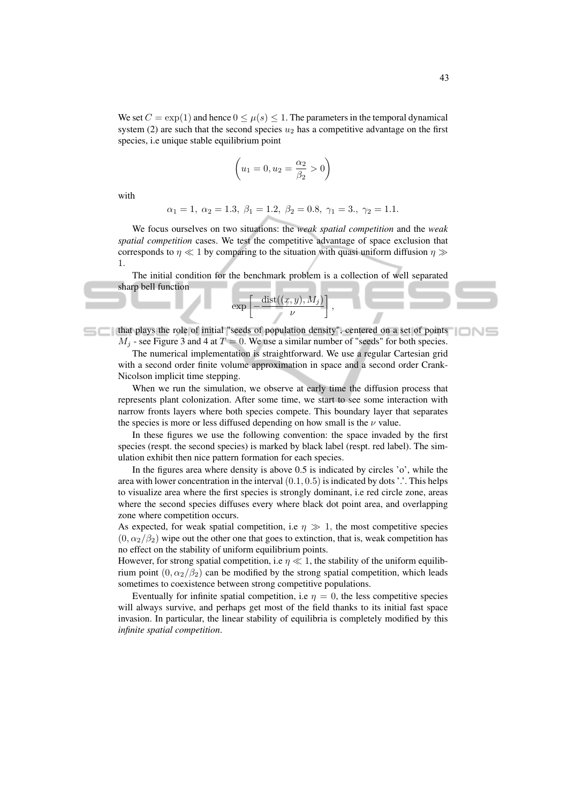We set  $C = \exp(1)$  and hence  $0 \leq \mu(s) \leq 1$ . The parameters in the temporal dynamical system (2) are such that the second species  $u_2$  has a competitive advantage on the first species, i.e unique stable equilibrium point

$$
(u_1 = 0, u_2 = \frac{\alpha_2}{\beta_2} > 0)
$$

with

$$
\alpha_1 = 1, \ \alpha_2 = 1.3, \ \beta_1 = 1.2, \ \beta_2 = 0.8, \ \gamma_1 = 3., \ \gamma_2 = 1.1.
$$

We focus ourselves on two situations: the *weak spatial competition* and the *weak spatial competition* cases. We test the competitive advantage of space exclusion that corresponds to  $\eta \ll 1$  by comparing to the situation with quasi uniform diffusion  $\eta \gg$ 1.

The initial condition for the benchmark problem is a collection of well separated sharp bell function

$$
\exp\left[-\frac{\text{dist}((x,y),M_j)}{\nu}\right],
$$

that plays the role of initial "seeds of population density", centered on a set of points  $M_i$  - see Figure 3 and 4 at  $T = 0$ . We use a similar number of "seeds" for both species.

The numerical implementation is straightforward. We use a regular Cartesian grid with a second order finite volume approximation in space and a second order Crank-Nicolson implicit time stepping.

When we run the simulation, we observe at early time the diffusion process that represents plant colonization. After some time, we start to see some interaction with narrow fronts layers where both species compete. This boundary layer that separates the species is more or less diffused depending on how small is the  $\nu$  value.

In these figures we use the following convention: the space invaded by the first species (respt. the second species) is marked by black label (respt. red label). The simulation exhibit then nice pattern formation for each species.

In the figures area where density is above 0.5 is indicated by circles 'o', while the area with lower concentration in the interval  $(0.1, 0.5)$  is indicated by dots '.'. This helps to visualize area where the first species is strongly dominant, i.e red circle zone, areas where the second species diffuses every where black dot point area, and overlapping zone where competition occurs.

As expected, for weak spatial competition, i.e  $\eta \gg 1$ , the most competitive species  $(0, \alpha_2/\beta_2)$  wipe out the other one that goes to extinction, that is, weak competition has no effect on the stability of uniform equilibrium points.

However, for strong spatial competition, i.e  $\eta \ll 1$ , the stability of the uniform equilibrium point  $(0, \alpha_2/\beta_2)$  can be modified by the strong spatial competition, which leads sometimes to coexistence between strong competitive populations.

Eventually for infinite spatial competition, i.e  $\eta = 0$ , the less competitive species will always survive, and perhaps get most of the field thanks to its initial fast space invasion. In particular, the linear stability of equilibria is completely modified by this *infinite spatial competition*.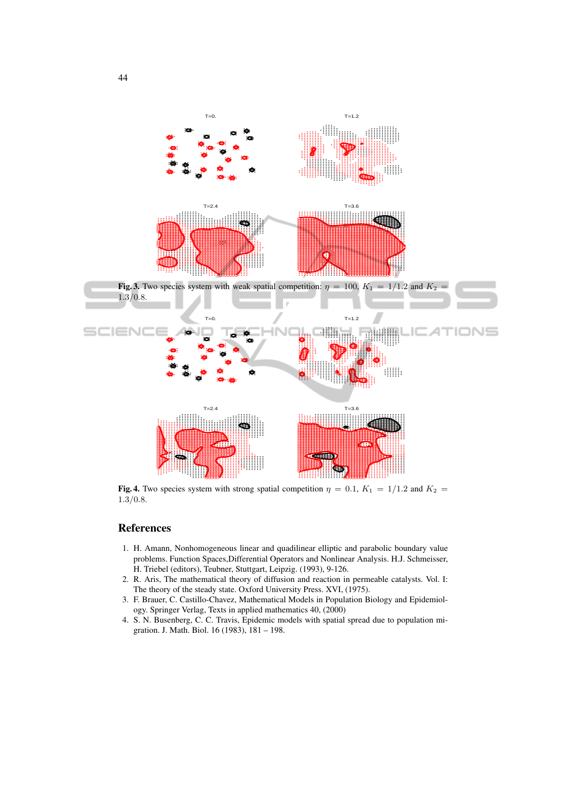

Fig. 4. Two species system with strong spatial competition  $\eta = 0.1$ ,  $K_1 = 1/1.2$  and  $K_2 =$  $1.3/0.8.$ 

## References

- 1. H. Amann, Nonhomogeneous linear and quadilinear elliptic and parabolic boundary value problems. Function Spaces,Differential Operators and Nonlinear Analysis. H.J. Schmeisser, H. Triebel (editors), Teubner, Stuttgart, Leipzig. (1993), 9-126.
- 2. R. Aris, The mathematical theory of diffusion and reaction in permeable catalysts. Vol. I: The theory of the steady state. Oxford University Press. XVI, (1975).
- 3. F. Brauer, C. Castillo-Chavez, Mathematical Models in Population Biology and Epidemiology. Springer Verlag, Texts in applied mathematics 40, (2000)
- 4. S. N. Busenberg, C. C. Travis, Epidemic models with spatial spread due to population migration. J. Math. Biol. 16 (1983), 181 – 198.